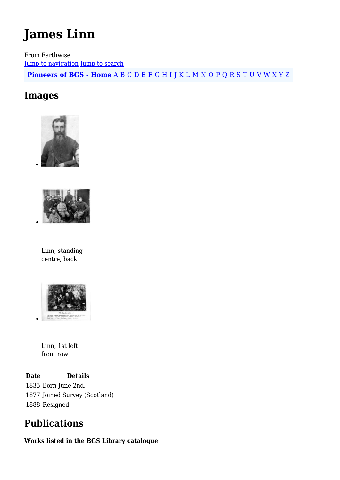# **James Linn**

From Earthwise [Jump to navigation](#page--1-0) [Jump to search](#page--1-0) **[Pioneers of BGS - Home](http://earthwise.bgs.ac.uk/index.php/Pioneers_of_the_British_Geological_Survey)** [A](http://earthwise.bgs.ac.uk/index.php/Pioneers_of_the_British_Geological_Survey#A) [B](http://earthwise.bgs.ac.uk/index.php/Pioneers_of_the_British_Geological_Survey#B) [C](http://earthwise.bgs.ac.uk/index.php/Pioneers_of_the_British_Geological_Survey#C) [D](http://earthwise.bgs.ac.uk/index.php/Pioneers_of_the_British_Geological_Survey#D) [E](http://earthwise.bgs.ac.uk/index.php/Pioneers_of_the_British_Geological_Survey#E) [F](http://earthwise.bgs.ac.uk/index.php/Pioneers_of_the_British_Geological_Survey#F) [G](http://earthwise.bgs.ac.uk/index.php/Pioneers_of_the_British_Geological_Survey#G) [H](http://earthwise.bgs.ac.uk/index.php/Pioneers_of_the_British_Geological_Survey#H) [I](http://earthwise.bgs.ac.uk/index.php/Pioneers_of_the_British_Geological_Survey#I) [J](http://earthwise.bgs.ac.uk/index.php/Pioneers_of_the_British_Geological_Survey#J) [K](http://earthwise.bgs.ac.uk/index.php/Pioneers_of_the_British_Geological_Survey#K) [L](http://earthwise.bgs.ac.uk/index.php/Pioneers_of_the_British_Geological_Survey#L) [M](http://earthwise.bgs.ac.uk/index.php/Pioneers_of_the_British_Geological_Survey#M) [N](http://earthwise.bgs.ac.uk/index.php/Pioneers_of_the_British_Geological_Survey#N) [O](http://earthwise.bgs.ac.uk/index.php/Pioneers_of_the_British_Geological_Survey#O) [P](http://earthwise.bgs.ac.uk/index.php/Pioneers_of_the_British_Geological_Survey#P) [Q](http://earthwise.bgs.ac.uk/index.php/Pioneers_of_the_British_Geological_Survey#Q) [R](http://earthwise.bgs.ac.uk/index.php/Pioneers_of_the_British_Geological_Survey#R) [S](http://earthwise.bgs.ac.uk/index.php/Pioneers_of_the_British_Geological_Survey#S) [T](http://earthwise.bgs.ac.uk/index.php/Pioneers_of_the_British_Geological_Survey#T) [U](http://earthwise.bgs.ac.uk/index.php/Pioneers_of_the_British_Geological_Survey#U) [V](http://earthwise.bgs.ac.uk/index.php/Pioneers_of_the_British_Geological_Survey#V) [W](http://earthwise.bgs.ac.uk/index.php/Pioneers_of_the_British_Geological_Survey#W) [X](http://earthwise.bgs.ac.uk/index.php/Pioneers_of_the_British_Geological_Survey#X) [Y](http://earthwise.bgs.ac.uk/index.php/Pioneers_of_the_British_Geological_Survey#Y) [Z](http://earthwise.bgs.ac.uk/index.php/Pioneers_of_the_British_Geological_Survey#Z)

# **Images**





Linn, standing centre, back



Linn, 1st left front row

**Date Details** 1835 Born June 2nd. 1877 Joined Survey (Scotland) 1888 Resigned

# **Publications**

#### **Works listed in the BGS Library catalogue**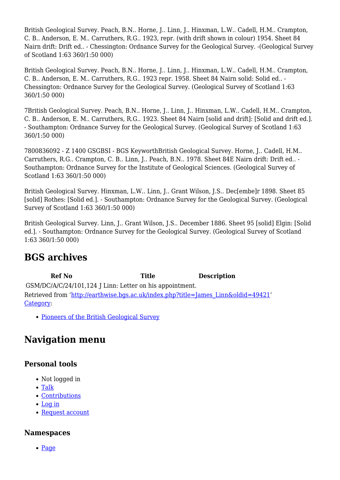British Geological Survey. Peach, B.N.. Horne, J.. Linn, J.. Hinxman, L.W.. Cadell, H.M.. Crampton, C. B.. Anderson, E. M.. Carruthers, R.G.. 1923, repr. (with drift shown in colour) 1954. Sheet 84 Nairn drift: Drift ed.. - Chessington: Ordnance Survey for the Geological Survey. -(Geological Survey of Scotland 1:63 360/1:50 000)

British Geological Survey. Peach, B.N.. Horne, J.. Linn, J.. Hinxman, L.W.. Cadell, H.M.. Crampton, C. B.. Anderson, E. M.. Carruthers, R.G.. 1923 repr. 1958. Sheet 84 Nairn solid: Solid ed.. - Chessington: Ordnance Survey for the Geological Survey. (Geological Survey of Scotland 1:63 360/1:50 000)

7British Geological Survey. Peach, B.N.. Horne, J.. Linn, J.. Hinxman, L.W.. Cadell, H.M.. Crampton, C. B.. Anderson, E. M.. Carruthers, R.G.. 1923. Sheet 84 Nairn [solid and drift]: [Solid and drift ed.]. - Southampton: Ordnance Survey for the Geological Survey. (Geological Survey of Scotland 1:63 360/1:50 000)

7800836092 - Z 1400 GSGBSI - BGS KeyworthBritish Geological Survey. Horne, J.. Cadell, H.M.. Carruthers, R.G.. Crampton, C. B.. Linn, J.. Peach, B.N.. 1978. Sheet 84E Nairn drift: Drift ed.. - Southampton: Ordnance Survey for the Institute of Geological Sciences. (Geological Survey of Scotland 1:63 360/1:50 000)

British Geological Survey. Hinxman, L.W.. Linn, J.. Grant Wilson, J.S.. Dec[embe]r 1898. Sheet 85 [solid] Rothes: [Solid ed.]. - Southampton: Ordnance Survey for the Geological Survey. (Geological Survey of Scotland 1:63 360/1:50 000)

British Geological Survey. Linn, J.. Grant Wilson, J.S.. December 1886. Sheet 95 [solid] Elgin: [Solid ed.]. - Southampton: Ordnance Survey for the Geological Survey. (Geological Survey of Scotland 1:63 360/1:50 000)

# **BGS archives**

**Ref No Title Description** GSM/DC/A/C/24/101,124 J Linn: Letter on his appointment. Retrieved from ['http://earthwise.bgs.ac.uk/index.php?title=James\\_Linn&oldid=49421](http://earthwise.bgs.ac.uk/index.php?title=James_Linn&oldid=49421)' [Category](http://earthwise.bgs.ac.uk/index.php/Special:Categories):

[Pioneers of the British Geological Survey](http://earthwise.bgs.ac.uk/index.php/Category:Pioneers_of_the_British_Geological_Survey)

# **Navigation menu**

## **Personal tools**

- Not logged in
- [Talk](http://earthwise.bgs.ac.uk/index.php/Special:MyTalk)
- [Contributions](http://earthwise.bgs.ac.uk/index.php/Special:MyContributions)
- [Log in](http://earthwise.bgs.ac.uk/index.php?title=Special:UserLogin&returnto=James+Linn&returntoquery=action%3Dmpdf)
- [Request account](http://earthwise.bgs.ac.uk/index.php/Special:RequestAccount)

## **Namespaces**

• [Page](http://earthwise.bgs.ac.uk/index.php/James_Linn)